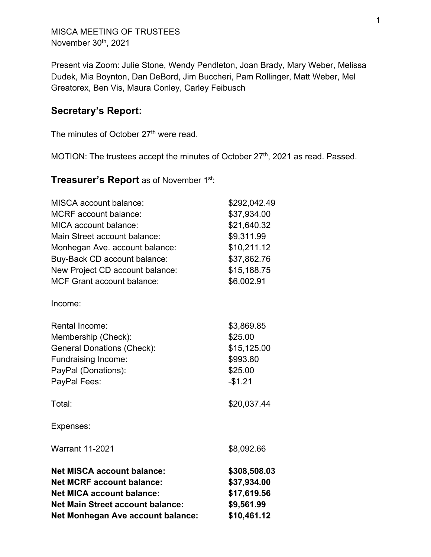MISCA MEETING OF TRUSTEES November 30<sup>th</sup>, 2021

Present via Zoom: Julie Stone, Wendy Pendleton, Joan Brady, Mary Weber, Melissa Dudek, Mia Boynton, Dan DeBord, Jim Buccheri, Pam Rollinger, Matt Weber, Mel Greatorex, Ben Vis, Maura Conley, Carley Feibusch

# **Secretary's Report:**

The minutes of October 27<sup>th</sup> were read.

MOTION: The trustees accept the minutes of October 27<sup>th</sup>, 2021 as read. Passed.

## **Treasurer's Report** as of November 1st:

| <b>Net MISCA account balance:</b><br><b>Net MCRF account balance:</b><br><b>Net MICA account balance:</b><br><b>Net Main Street account balance:</b><br>Net Monhegan Ave account balance: | \$308,508.03<br>\$37,934.00<br>\$17,619.56<br>\$9,561.99<br>\$10,461.12 |
|-------------------------------------------------------------------------------------------------------------------------------------------------------------------------------------------|-------------------------------------------------------------------------|
| <b>Warrant 11-2021</b>                                                                                                                                                                    | \$8,092.66                                                              |
| Expenses:                                                                                                                                                                                 |                                                                         |
| Total:                                                                                                                                                                                    | \$20,037.44                                                             |
| Membership (Check):<br><b>General Donations (Check):</b><br>Fundraising Income:<br>PayPal (Donations):<br>PayPal Fees:                                                                    | \$25.00<br>\$15,125.00<br>\$993.80<br>\$25.00<br>$-$1.21$               |
| Income:<br><b>Rental Income:</b>                                                                                                                                                          | \$3,869.85                                                              |
| <b>MCF Grant account balance:</b>                                                                                                                                                         | \$6,002.91                                                              |
| MICA account balance:<br>Main Street account balance:<br>Monhegan Ave. account balance:<br>Buy-Back CD account balance:<br>New Project CD account balance:                                | \$21,640.32<br>\$9,311.99<br>\$10,211.12<br>\$37,862.76<br>\$15,188.75  |
| <b>MISCA</b> account balance:<br><b>MCRF</b> account balance:                                                                                                                             | \$292,042.49<br>\$37,934.00                                             |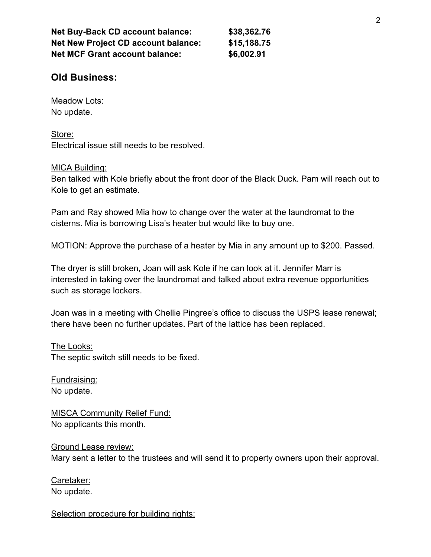| <b>Net Buy-Back CD account balance:</b><br><b>Net New Project CD account balance:</b> | \$38,362.76<br>\$15,188.75 |
|---------------------------------------------------------------------------------------|----------------------------|
|                                                                                       |                            |

# **Old Business:**

Meadow Lots: No update.

Store: Electrical issue still needs to be resolved.

#### MICA Building:

Ben talked with Kole briefly about the front door of the Black Duck. Pam will reach out to Kole to get an estimate.

Pam and Ray showed Mia how to change over the water at the laundromat to the cisterns. Mia is borrowing Lisa's heater but would like to buy one.

MOTION: Approve the purchase of a heater by Mia in any amount up to \$200. Passed.

The dryer is still broken, Joan will ask Kole if he can look at it. Jennifer Marr is interested in taking over the laundromat and talked about extra revenue opportunities such as storage lockers.

Joan was in a meeting with Chellie Pingree's office to discuss the USPS lease renewal; there have been no further updates. Part of the lattice has been replaced.

#### The Looks:

The septic switch still needs to be fixed.

Fundraising: No update.

MISCA Community Relief Fund: No applicants this month.

Ground Lease review: Mary sent a letter to the trustees and will send it to property owners upon their approval.

Caretaker: No update.

Selection procedure for building rights: